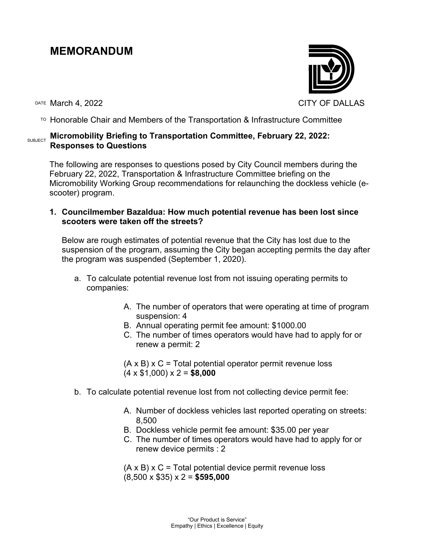# **MEMORANDUM**

DATE March 4, 2022 CITY OF DALLAS



# **SUBJECT Micromobility Briefing to Transportation Committee, February 22, 2022: Responses to Questions**

The following are responses to questions posed by City Council members during the February 22, 2022, Transportation & Infrastructure Committee briefing on the Micromobility Working Group recommendations for relaunching the dockless vehicle (escooter) program.

**1. Councilmember Bazaldua: How much potential revenue has been lost since scooters were taken off the streets?**

Below are rough estimates of potential revenue that the City has lost due to the suspension of the program, assuming the City began accepting permits the day after the program was suspended (September 1, 2020).

- a. To calculate potential revenue lost from not issuing operating permits to companies:
	- A. The number of operators that were operating at time of program suspension: 4
	- B. Annual operating permit fee amount: \$1000.00
	- C. The number of times operators would have had to apply for or renew a permit: 2

 $(A \times B) \times C$  = Total potential operator permit revenue loss (4 x \$1,000) x 2 = **\$8,000**

- b. To calculate potential revenue lost from not collecting device permit fee:
	- A. Number of dockless vehicles last reported operating on streets: 8,500
	- B. Dockless vehicle permit fee amount: \$35.00 per year
	- C. The number of times operators would have had to apply for or renew device permits : 2

 $(A \times B) \times C$  = Total potential device permit revenue loss (8,500 x \$35) x 2 = **\$595,000**

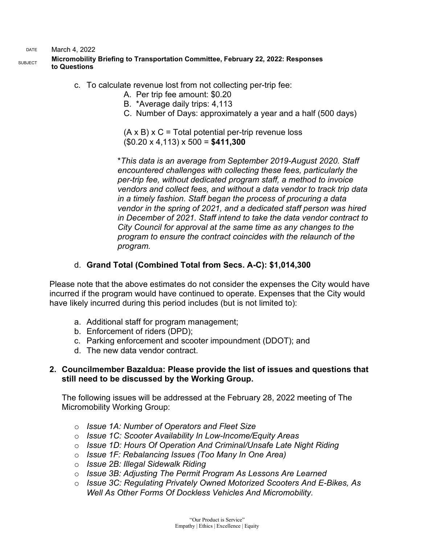DATE March 4, 2022

# SUBJECT **Micromobility Briefing to Transportation Committee, February 22, 2022: Responses to Questions**

- c. To calculate revenue lost from not collecting per-trip fee:
	- A. Per trip fee amount: \$0.20
	- B. \*Average daily trips: 4,113
	- C. Number of Days: approximately a year and a half (500 days)

 $(A \times B) \times C =$  Total potential per-trip revenue loss (\$0.20 x 4,113) x 500 = **\$411,300**

\**This data is an average from September 2019-August 2020. Staff encountered challenges with collecting these fees, particularly the per-trip fee, without dedicated program staff, a method to invoice vendors and collect fees, and without a data vendor to track trip data in a timely fashion. Staff began the process of procuring a data vendor in the spring of 2021, and a dedicated staff person was hired in December of 2021. Staff intend to take the data vendor contract to City Council for approval at the same time as any changes to the program to ensure the contract coincides with the relaunch of the program.*

# d. **Grand Total (Combined Total from Secs. A-C): \$1,014,300**

Please note that the above estimates do not consider the expenses the City would have incurred if the program would have continued to operate. Expenses that the City would have likely incurred during this period includes (but is not limited to):

- a. Additional staff for program management;
- b. Enforcement of riders (DPD);
- c. Parking enforcement and scooter impoundment (DDOT); and
- d. The new data vendor contract.

# **2. Councilmember Bazaldua: Please provide the list of issues and questions that still need to be discussed by the Working Group.**

The following issues will be addressed at the February 28, 2022 meeting of The Micromobility Working Group:

- o *Issue 1A: Number of Operators and Fleet Size*
- o *Issue 1C: Scooter Availability In Low-Income/Equity Areas*
- o *Issue 1D: Hours Of Operation And Criminal/Unsafe Late Night Riding*
- o *Issue 1F: Rebalancing Issues (Too Many In One Area)*
- o *Issue 2B: Illegal Sidewalk Riding*
- o *Issue 3B: Adjusting The Permit Program As Lessons Are Learned*
- o *Issue 3C: Regulating Privately Owned Motorized Scooters And E-Bikes, As Well As Other Forms Of Dockless Vehicles And Micromobility.*